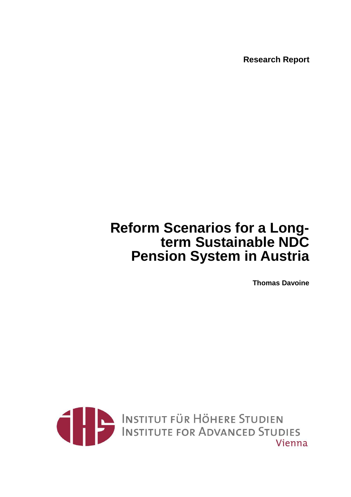**Research Report** 

# **Reform Scenarios for a Longterm Sustainable NDC Pension System in Austria**

**Thomas Davoine** 

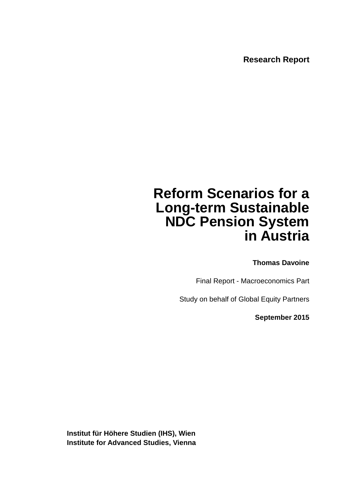**Research Report** 

# **Reform Scenarios for a Long-term Sustainable NDC Pension System in Austria**

**Thomas Davoine** 

Final Report - Macroeconomics Part

Study on behalf of Global Equity Partners

**September 2015** 

**Institut für Höhere Studien (IHS), Wien Institute for Advanced Studies, Vienna**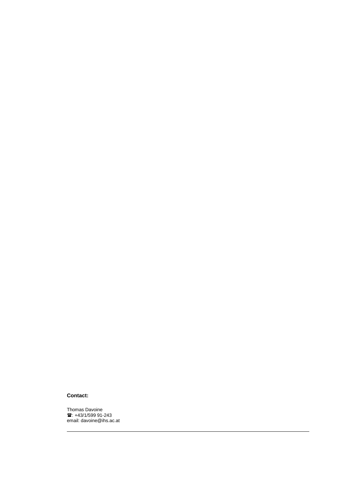#### **Contact:**

Thomas Davoine<br>雷: +43/1/599 91-243 email: davoine@ihs.ac.at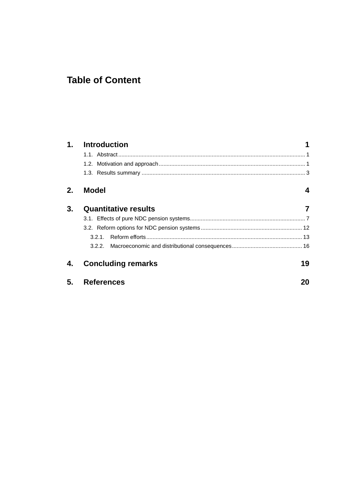# **Table of Content**

| 1. | <b>Introduction</b>         |    |
|----|-----------------------------|----|
|    |                             |    |
|    |                             |    |
|    |                             |    |
| 2. | <b>Model</b>                | 4  |
| 3. | <b>Quantitative results</b> | 7  |
|    |                             |    |
|    |                             |    |
|    | 321                         |    |
|    |                             |    |
| 4. | <b>Concluding remarks</b>   | 19 |
| 5. | <b>References</b>           | 20 |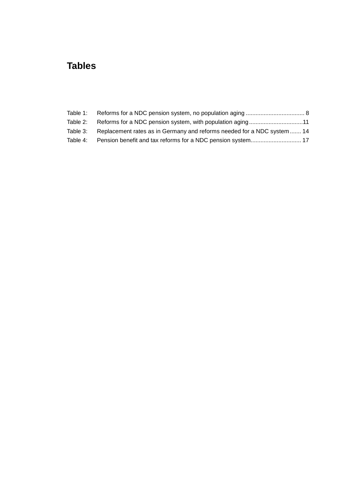# **Tables**

| Table 2: | Reforms for a NDC pension system, with population aging11              |  |
|----------|------------------------------------------------------------------------|--|
| Table 3: | Replacement rates as in Germany and reforms needed for a NDC system 14 |  |
| Table 4: |                                                                        |  |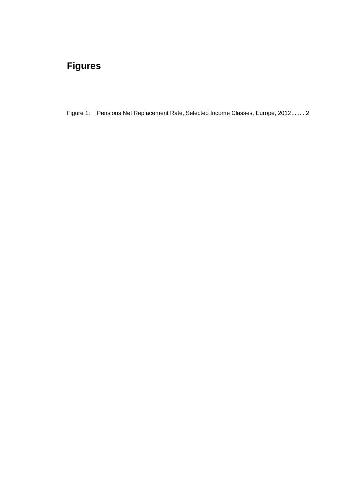# **Figures**

Figure 1: Pensions Net Replacement Rate, Selected Income Classes, Europe, 2012 ........ 2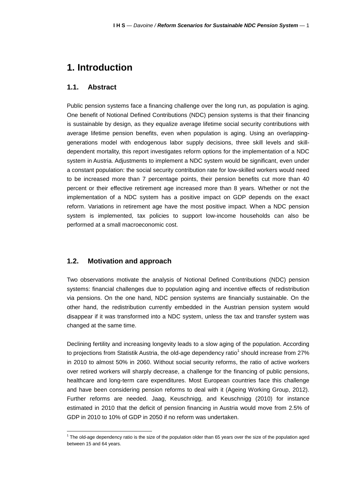## **1. Introduction**

#### **1.1. Abstract**

Public pension systems face a financing challenge over the long run, as population is aging. One benefit of Notional Defined Contributions (NDC) pension systems is that their financing is sustainable by design, as they equalize average lifetime social security contributions with average lifetime pension benefits, even when population is aging. Using an overlappinggenerations model with endogenous labor supply decisions, three skill levels and skilldependent mortality, this report investigates reform options for the implementation of a NDC system in Austria. Adjustments to implement a NDC system would be significant, even under a constant population: the social security contribution rate for low-skilled workers would need to be increased more than 7 percentage points, their pension benefits cut more than 40 percent or their effective retirement age increased more than 8 years. Whether or not the implementation of a NDC system has a positive impact on GDP depends on the exact reform. Variations in retirement age have the most positive impact. When a NDC pension system is implemented, tax policies to support low-income households can also be performed at a small macroeconomic cost.

#### **1.2. Motivation and approach**

l

Two observations motivate the analysis of Notional Defined Contributions (NDC) pension systems: financial challenges due to population aging and incentive effects of redistribution via pensions. On the one hand, NDC pension systems are financially sustainable. On the other hand, the redistribution currently embedded in the Austrian pension system would disappear if it was transformed into a NDC system, unless the tax and transfer system was changed at the same time.

Declining fertility and increasing longevity leads to a slow aging of the population. According to projections from Statistik Austria, the old-age dependency ratio<sup>1</sup> should increase from 27% in 2010 to almost 50% in 2060. Without social security reforms, the ratio of active workers over retired workers will sharply decrease, a challenge for the financing of public pensions, healthcare and long-term care expenditures. Most European countries face this challenge and have been considering pension reforms to deal with it (Ageing Working Group, 2012). Further reforms are needed. Jaag, Keuschnigg, and Keuschnigg (2010) for instance estimated in 2010 that the deficit of pension financing in Austria would move from 2.5% of GDP in 2010 to 10% of GDP in 2050 if no reform was undertaken.

<sup>&</sup>lt;sup>1</sup> The old-age dependency ratio is the size of the population older than 65 years over the size of the population aged between 15 and 64 years.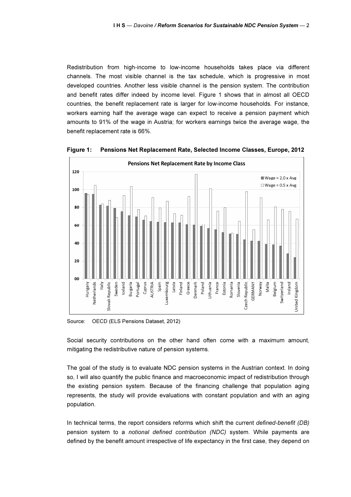Redistribution from high-income to low-income households takes place via different channels. The most visible channel is the tax schedule, which is progressive in most developed countries. Another less visible channel is the pension system. The contribution and benefit rates differ indeed by income level. Figure 1 shows that in almost all OECD countries, the benefit replacement rate is larger for low-income households. For instance, workers earning half the average wage can expect to receive a pension payment which amounts to 91% of the wage in Austria; for workers earnings twice the average wage, the benefit replacement rate is 66%.



Figure 1: Pensions Net Replacement Rate, Selected Income Classes, Europe, 2012

Source: OECD (ELS Pensions Dataset, 2012)

Social security contributions on the other hand often come with a maximum amount, mitigating the redistributive nature of pension systems.

The goal of the study is to evaluate NDC pension systems in the Austrian context. In doing so, I will also quantify the public finance and macroeconomic impact of redistribution through the existing pension system. Because of the financing challenge that population aging represents, the study will provide evaluations with constant population and with an aging population.

In technical terms, the report considers reforms which shift the current defined-benefit (DB) pension system to a notional defined contribution (NDC) system. While payments are defined by the benefit amount irrespective of life expectancy in the first case, they depend on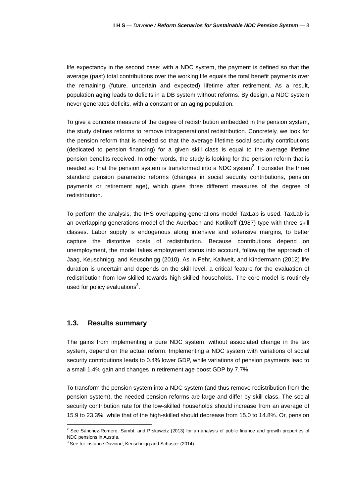life expectancy in the second case: with a NDC system, the payment is defined so that the average (past) total contributions over the working life equals the total benefit payments over the remaining (future, uncertain and expected) lifetime after retirement. As a result, population aging leads to deficits in a DB system without reforms. By design, a NDC system never generates deficits, with a constant or an aging population.

To give a concrete measure of the degree of redistribution embedded in the pension system, the study defines reforms to remove intragenerational redistribution. Concretely, we look for the pension reform that is needed so that the average lifetime social security contributions (dedicated to pension financing) for a given skill class is equal to the average lifetime pension benefits received. In other words, the study is looking for the pension reform that is needed so that the pension system is transformed into a NDC system<sup>2</sup>. I consider the three standard pension parametric reforms (changes in social security contributions, pension payments or retirement age), which gives three different measures of the degree of redistribution.

To perform the analysis, the IHS overlapping-generations model TaxLab is used. TaxLab is an overlapping-generations model of the Auerbach and Kotlikoff (1987) type with three skill classes. Labor supply is endogenous along intensive and extensive margins, to better capture the distortive costs of redistribution. Because contributions depend on unemployment, the model takes employment status into account, following the approach of Jaag, Keuschnigg, and Keuschnigg (2010). As in Fehr, Kallweit, and Kindermann (2012) life duration is uncertain and depends on the skill level, a critical feature for the evaluation of redistribution from low-skilled towards high-skilled households. The core model is routinely used for policy evaluations $3$ .

#### **1.3. Results summary**

l

The gains from implementing a pure NDC system, without associated change in the tax system, depend on the actual reform. Implementing a NDC system with variations of social security contributions leads to 0.4% lower GDP, while variations of pension payments lead to a small 1.4% gain and changes in retirement age boost GDP by 7.7%.

To transform the pension system into a NDC system (and thus remove redistribution from the pension system), the needed pension reforms are large and differ by skill class. The social security contribution rate for the low-skilled households should increase from an average of 15.9 to 23.3%, while that of the high-skilled should decrease from 15.0 to 14.8%. Or, pension

<sup>&</sup>lt;sup>2</sup> See Sánchez-Romero, Sambt, and Prskawetz (2013) for an analysis of public finance and growth properties of NDC pensions in Austria.

 $3$  See for instance Davoine, Keuschnigg and Schuster (2014).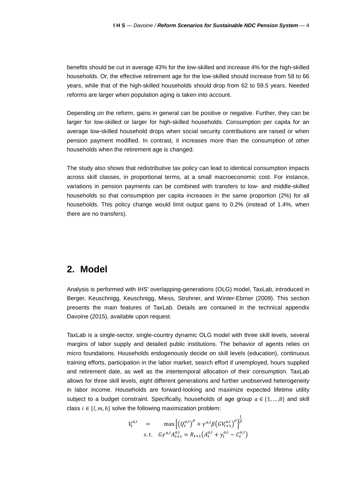benefits should be cut in average 43% for the low-skilled and increase 4% for the high-skilled households. Or, the effective retirement age for the low-skilled should increase from 58 to 66 years, while that of the high-skilled households should drop from 62 to 59.5 years. Needed reforms are larger when population aging is taken into account.

Depending on the reform, gains in general can be positive or negative. Further, they can be larger for low-skilled or larger for high-skilled households. Consumption per capita for an average low-skilled household drops when social security contributions are raised or when pension payment modified. In contrast, it increases more than the consumption of other households when the retirement age is changed.

The study also shows that redistributive tax policy can lead to identical consumption impacts across skill classes, in proportional terms, at a small macroeconomic cost. For instance, variations in pension payments can be combined with transfers to low- and middle-skilled households so that consumption per capita increases in the same proportion (2%) for all households. This policy change would limit output gains to 0.2% (instead of 1.4%, when there are no transfers).

### **2. Model**

Analysis is performed with IHS' overlapping-generations (OLG) model, TaxLab, introduced in Berger, Keuschnigg, Keuschnigg, Miess, Strohner, and Winter-Ebmer (2009). This section presents the main features of TaxLab. Details are contained in the technical appendix Davoine (2015), available upon request.

TaxLab is a single-sector, single-country dynamic OLG model with three skill levels, several margins of labor supply and detailed public institutions. The behavior of agents relies on micro foundations. Households endogenously decide on skill levels (education), continuous training efforts, participation in the labor market, search effort if unemployed, hours supplied and retirement date, as well as the intertemporal allocation of their consumption. TaxLab allows for three skill levels, eight different generations and further unobserved heterogeneity in labor income. Households are forward-looking and maximize expected lifetime utility subject to a budget constraint. Specifically, households of age group  $a \in \{1, ..., 8\}$  and skill class  $i \in \{l, m, h\}$  solve the following maximization problem:

$$
V_t^{a,i} = \max \left[ \left( Q_t^{a,i} \right)^{\rho} + \gamma^{a,i} \beta \left( G V_{t+1}^{a,i} \right)^{\rho} \right]^{\frac{1}{\rho}} s.t. \quad G \gamma^{a,i} A_{t+1}^{a,i} = R_{t+1} \left( A_t^{a,i} + y_t^{a,i} - C_t^{a,i} \right)
$$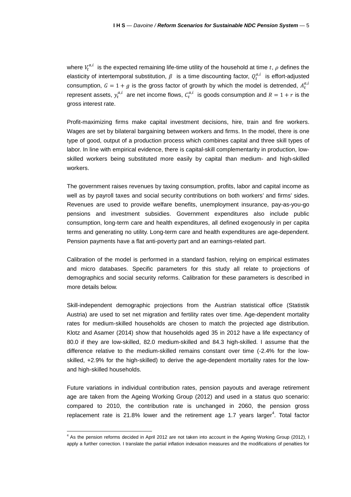where  $V_t^{a,i}$  is the expected remaining life-time utility of the household at time  $t, \, \rho$  defines the elasticity of intertemporal substitution,  $\beta$  is a time discounting factor,  $Q_t^{a,t}$  is effort-adjusted consumption,  $G = 1 + g$  is the gross factor of growth by which the model is detrended,  $A_t^{a,t}$ represent assets,  $y_t^{a,i}$  are net income flows,  $C_t^{a,i}$  is goods consumption and  $R = 1 + r$  is the gross interest rate.

Profit-maximizing firms make capital investment decisions, hire, train and fire workers. Wages are set by bilateral bargaining between workers and firms. In the model, there is one type of good, output of a production process which combines capital and three skill types of labor. In line with empirical evidence, there is capital-skill complementarity in production, lowskilled workers being substituted more easily by capital than medium- and high-skilled workers.

The government raises revenues by taxing consumption, profits, labor and capital income as well as by payroll taxes and social security contributions on both workers' and firms' sides. Revenues are used to provide welfare benefits, unemployment insurance, pay-as-you-go pensions and investment subsidies. Government expenditures also include public consumption, long-term care and health expenditures, all defined exogenously in per capita terms and generating no utility. Long-term care and health expenditures are age-dependent. Pension payments have a flat anti-poverty part and an earnings-related part.

Calibration of the model is performed in a standard fashion, relying on empirical estimates and micro databases. Specific parameters for this study all relate to projections of demographics and social security reforms. Calibration for these parameters is described in more details below.

Skill-independent demographic projections from the Austrian statistical office (Statistik Austria) are used to set net migration and fertility rates over time. Age-dependent mortality rates for medium-skilled households are chosen to match the projected age distribution. Klotz and Asamer (2014) show that households aged 35 in 2012 have a life expectancy of 80.0 if they are low-skilled, 82.0 medium-skilled and 84.3 high-skilled. I assume that the difference relative to the medium-skilled remains constant over time (-2.4% for the lowskilled, +2.9% for the high-skilled) to derive the age-dependent mortality rates for the lowand high-skilled households.

Future variations in individual contribution rates, pension payouts and average retirement age are taken from the Ageing Working Group (2012) and used in a status quo scenario: compared to 2010, the contribution rate is unchanged in 2060, the pension gross replacement rate is 21.8% lower and the retirement age 1.7 years larger<sup>4</sup>. Total factor

<sup>&</sup>lt;sup>4</sup> As the pension reforms decided in April 2012 are not taken into account in the Ageing Working Group (2012), I apply a further correction. I translate the partial inflation indexation measures and the modifications of penalties for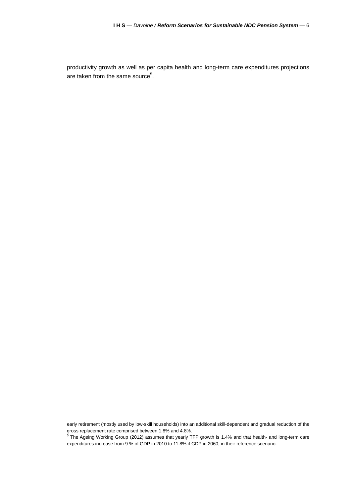productivity growth as well as per capita health and long-term care expenditures projections are taken from the same source<sup>5</sup>.

early retirement (mostly used by low-skill households) into an additional skill-dependent and gradual reduction of the gross replacement rate comprised between 1.8% and 4.8%.

<sup>&</sup>lt;sup>5</sup> The Ageing Working Group (2012) assumes that yearly TFP growth is 1.4% and that health- and long-term care expenditures increase from 9 % of GDP in 2010 to 11.8% if GDP in 2060, in their reference scenario.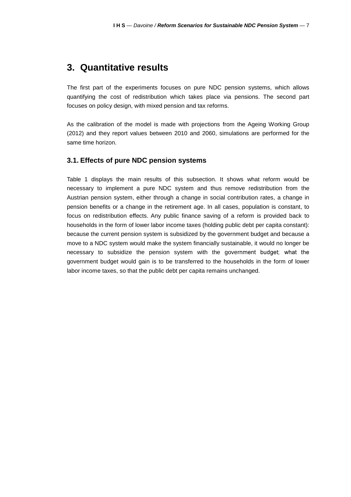### **3. Quantitative results**

The first part of the experiments focuses on pure NDC pension systems, which allows quantifying the cost of redistribution which takes place via pensions. The second part focuses on policy design, with mixed pension and tax reforms.

As the calibration of the model is made with projections from the Ageing Working Group (2012) and they report values between 2010 and 2060, simulations are performed for the same time horizon.

#### **3.1. Effects of pure NDC pension systems**

Table 1 displays the main results of this subsection. It shows what reform would be necessary to implement a pure NDC system and thus remove redistribution from the Austrian pension system, either through a change in social contribution rates, a change in pension benefits or a change in the retirement age. In all cases, population is constant, to focus on redistribution effects. Any public finance saving of a reform is provided back to households in the form of lower labor income taxes (holding public debt per capita constant): because the current pension system is subsidized by the government budget and because a move to a NDC system would make the system financially sustainable, it would no longer be necessary to subsidize the pension system with the government budget; what the government budget would gain is to be transferred to the households in the form of lower labor income taxes, so that the public debt per capita remains unchanged.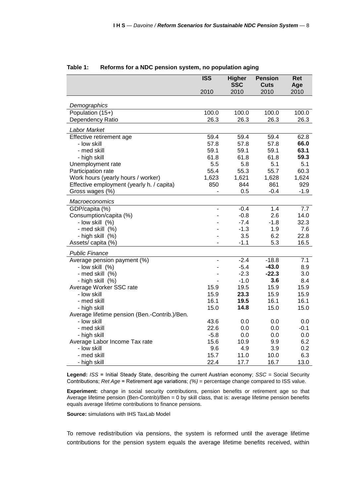|                                               | <b>ISS</b>     | <b>Higher</b><br><b>SSC</b> | <b>Pension</b><br><b>Cuts</b> | Ret<br>Age |
|-----------------------------------------------|----------------|-----------------------------|-------------------------------|------------|
|                                               | 2010           | 2010                        | 2010                          | 2010       |
|                                               |                |                             |                               |            |
| Demographics                                  |                |                             |                               |            |
| Population $(15+)$                            | 100.0          | 100.0                       | 100.0                         | 100.0      |
| Dependency Ratio                              | 26.3           | 26.3                        | 26.3                          | 26.3       |
| Labor Market                                  |                |                             |                               |            |
| Effective retirement age                      | 59.4           | 59.4                        | 59.4                          | 62.8       |
| - low skill                                   | 57.8           | 57.8                        | 57.8                          | 66.0       |
| - med skill                                   | 59.1           | 59.1                        | 59.1                          | 63.1       |
| - high skill                                  | 61.8           | 61.8                        | 61.8                          | 59.3       |
| Unemployment rate                             | 5.5            | 5.8                         | 5.1                           | 5.1        |
| Participation rate                            | 55.4           | 55.3                        | 55.7                          | 60.3       |
| Work hours (yearly hours / worker)            | 1,623          | 1,621                       | 1,628                         | 1,624      |
| Effective employment (yearly h. / capita)     | 850            | 844                         | 861                           | 929        |
| Gross wages (%)                               |                | 0.5                         | $-0.4$                        | $-1.9$     |
| Macroeconomics                                |                |                             |                               |            |
| GDP/capita (%)                                |                | $-0.4$                      | 1.4                           | 7.7        |
| Consumption/capita (%)                        |                | $-0.8$                      | 2.6                           | 14.0       |
| - low skill (%)                               |                | $-7.4$                      | $-1.8$                        | 32.3       |
| - med skill (%)                               |                | $-1.3$                      | 1.9                           | 7.6        |
| - high skill (%)                              |                | 3.5                         | 6.2                           | 22.8       |
| Assets/ capita (%)                            | $\blacksquare$ | $-1.1$                      | 5.3                           | 16.5       |
| <b>Public Finance</b>                         |                |                             |                               |            |
| Average pension payment (%)                   |                | $-2.4$                      | $-18.8$                       | 7.1        |
| - low skill (%)                               |                | $-5.4$                      | $-43.0$                       | 8.9        |
| - med skill (%)                               |                | $-2.3$                      | $-22.3$                       | 3.0        |
| - high skill (%)                              |                | $-1.0$                      | 3.6                           | 8.4        |
| Average Worker SSC rate                       | 15.9           | 19.5                        | 15.9                          | 15.9       |
| - low skill                                   | 15.9           | 23.3                        | 15.9                          | 15.9       |
| - med skill                                   | 16.1           | 19.5                        | 16.1                          | 16.1       |
| - high skill                                  | 15.0           | 14.8                        | 15.0                          | 15.0       |
| Average lifetime pension (Ben.-Contrib.)/Ben. |                |                             |                               |            |
| - Iow skill                                   | 43.6           | 0.0                         | 0.0                           | 0.0        |
| - med skill                                   | 22.6           | 0.0                         | 0.0                           | $-0.1$     |
| - high skill                                  | $-5.8$         | 0.0                         | 0.0                           | 0.0        |
| Average Labor Income Tax rate                 | 15.6           | 10.9                        | 9.9                           | 6.2        |
| - low skill                                   | 9.6            | 4.9                         | 3.9                           | 0.2        |
| - med skill                                   | 15.7           | 11.0                        | 10.0                          | 6.3        |
| - high skill                                  | 22.4           | 17.7                        | 16.7                          | 13.0       |

#### **Table 1: Reforms for a NDC pension system, no population aging**

Legend: ISS = Initial Steady State, describing the current Austrian economy; SSC = Social Security Contributions; Ret Age = Retirement age variations; (%) = percentage change compared to ISS value.

**Experiment:** change in social security contributions, pension benefits or retirement age so that Average lifetime pension (Ben-Contrib)/Ben = 0 by skill class, that is: average lifetime pension benefits equals average lifetime contributions to finance pensions.

**Source:** simulations with IHS TaxLab Model

To remove redistribution via pensions, the system is reformed until the average lifetime contributions for the pension system equals the average lifetime benefits received, within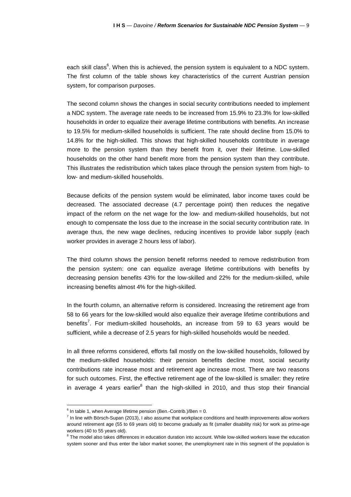each skill class<sup>6</sup>. When this is achieved, the pension system is equivalent to a NDC system. The first column of the table shows key characteristics of the current Austrian pension system, for comparison purposes.

The second column shows the changes in social security contributions needed to implement a NDC system. The average rate needs to be increased from 15.9% to 23.3% for low-skilled households in order to equalize their average lifetime contributions with benefits. An increase to 19.5% for medium-skilled households is sufficient. The rate should decline from 15.0% to 14.8% for the high-skilled. This shows that high-skilled households contribute in average more to the pension system than they benefit from it, over their lifetime. Low-skilled households on the other hand benefit more from the pension system than they contribute. This illustrates the redistribution which takes place through the pension system from high- to low- and medium-skilled households.

Because deficits of the pension system would be eliminated, labor income taxes could be decreased. The associated decrease (4.7 percentage point) then reduces the negative impact of the reform on the net wage for the low- and medium-skilled households, but not enough to compensate the loss due to the increase in the social security contribution rate. In average thus, the new wage declines, reducing incentives to provide labor supply (each worker provides in average 2 hours less of labor).

The third column shows the pension benefit reforms needed to remove redistribution from the pension system: one can equalize average lifetime contributions with benefits by decreasing pension benefits 43% for the low-skilled and 22% for the medium-skilled, while increasing benefits almost 4% for the high-skilled.

In the fourth column, an alternative reform is considered. Increasing the retirement age from 58 to 66 years for the low-skilled would also equalize their average lifetime contributions and benefits<sup>7</sup>. For medium-skilled households, an increase from 59 to 63 years would be sufficient, while a decrease of 2.5 years for high-skilled households would be needed.

In all three reforms considered, efforts fall mostly on the low-skilled households, followed by the medium-skilled households: their pension benefits decline most, social security contributions rate increase most and retirement age increase most. There are two reasons for such outcomes. First, the effective retirement age of the low-skilled is smaller: they retire in average 4 years earlier<sup>8</sup> than the high-skilled in 2010, and thus stop their financial

 $6$  In table 1, when Average lifetime pension (Ben.-Contrib.)/Ben = 0.

<sup>&</sup>lt;sup>7</sup> In line with Börsch-Supan (2013), I also assume that workplace conditions and health improvements allow workers around retirement age (55 to 69 years old) to become gradually as fit (smaller disability risk) for work as prime-age workers (40 to 55 years old).

 $8$  The model also takes differences in education duration into account. While low-skilled workers leave the education system sooner and thus enter the labor market sooner, the unemployment rate in this segment of the population is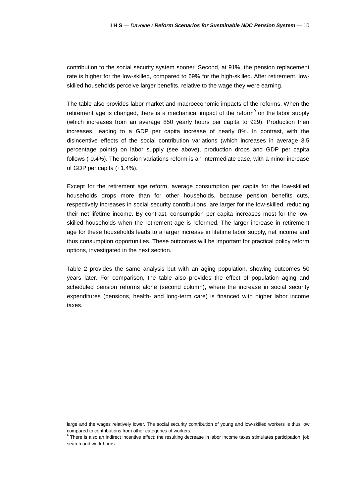contribution to the social security system sooner. Second, at 91%, the pension replacement rate is higher for the low-skilled, compared to 69% for the high-skilled. After retirement, lowskilled households perceive larger benefits, relative to the wage they were earning.

The table also provides labor market and macroeconomic impacts of the reforms. When the retirement age is changed, there is a mechanical impact of the reform<sup>9</sup> on the labor supply (which increases from an average 850 yearly hours per capita to 929). Production then increases, leading to a GDP per capita increase of nearly 8%. In contrast, with the disincentive effects of the social contribution variations (which increases in average 3.5 percentage points) on labor supply (see above), production drops and GDP per capita follows (-0.4%). The pension variations reform is an intermediate case, with a minor increase of GDP per capita (+1.4%).

Except for the retirement age reform, average consumption per capita for the low-skilled households drops more than for other households, because pension benefits cuts, respectively increases in social security contributions, are larger for the low-skilled, reducing their net lifetime income. By contrast, consumption per capita increases most for the lowskilled households when the retirement age is reformed. The larger increase in retirement age for these households leads to a larger increase in lifetime labor supply, net income and thus consumption opportunities. These outcomes will be important for practical policy reform options, investigated in the next section.

Table 2 provides the same analysis but with an aging population, showing outcomes 50 years later. For comparison, the table also provides the effect of population aging and scheduled pension reforms alone (second column), where the increase in social security expenditures (pensions, health- and long-term care) is financed with higher labor income taxes.

large and the wages relatively lower. The social security contribution of young and low-skilled workers is thus low compared to contributions from other categories of workers.

<sup>&</sup>lt;sup>9</sup> There is also an indirect incentive effect: the resulting decrease in labor income taxes stimulates participation, job search and work hours.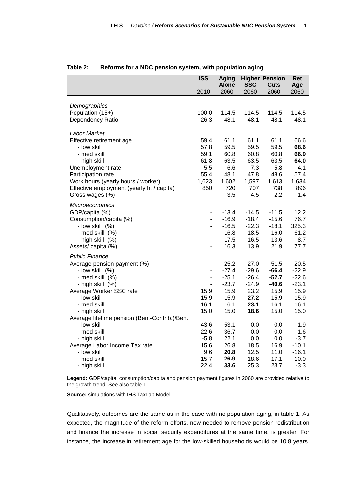|                                               | <b>ISS</b>                   | <b>Aging</b>         |                    | <b>Higher Pension</b> | <b>Ret</b>  |
|-----------------------------------------------|------------------------------|----------------------|--------------------|-----------------------|-------------|
|                                               | 2010                         | <b>Alone</b><br>2060 | <b>SSC</b><br>2060 | Cuts<br>2060          | Age<br>2060 |
|                                               |                              |                      |                    |                       |             |
| Demographics                                  |                              |                      |                    |                       |             |
| Population (15+)                              | 100.0                        | 114.5                | 114.5              | 114.5                 | 114.5       |
| Dependency Ratio                              | 26.3                         | 48.1                 | 48.1               | 48.1                  | 48.1        |
| Labor Market                                  |                              |                      |                    |                       |             |
| Effective retirement age                      | 59.4                         | 61.1                 | 61.1               | 61.1                  | 66.6        |
| - Iow skill                                   | 57.8                         | 59.5                 | 59.5               | 59.5                  | 68.6        |
| - med skill                                   | 59.1                         | 60.8                 | 60.8               | 60.8                  | 66.9        |
| - high skill                                  | 61.8                         | 63.5                 | 63.5               | 63.5                  | 64.0        |
| Unemployment rate                             | 5.5                          | 6.6                  | 7.3                | 5.8                   | 4.1         |
| Participation rate                            | 55.4                         | 48.1                 | 47.8               | 48.6                  | 57.4        |
| Work hours (yearly hours / worker)            | 1,623                        | 1,602                | 1,597              | 1,613                 | 1,634       |
| Effective employment (yearly h. / capita)     | 850                          | 720                  | 707                | 738                   | 896         |
| Gross wages (%)                               |                              | 3.5                  | 4.5                | 2.2                   | $-1.4$      |
| Macroeconomics                                |                              |                      |                    |                       |             |
| GDP/capita (%)                                | $\overline{\phantom{a}}$     | $-13.4$              | $-14.5$            | $-11.5$               | 12.2        |
| Consumption/capita (%)                        | ÷,                           | $-16.9$              | $-18.4$            | $-15.6$               | 76.7        |
| - low skill (%)                               |                              | $-16.5$              | $-22.3$            | $-18.1$               | 325.3       |
| - med skill (%)                               | -                            | $-16.8$              | $-18.5$            | $-16.0$               | 61.2        |
| - high skill (%)                              | ÷,                           | $-17.5$              | $-16.5$            | $-13.6$               | 8.7         |
| Assets/ capita (%)                            |                              | 16.3                 | 13.9               | 21.9                  | $77.7$      |
| <b>Public Finance</b>                         |                              |                      |                    |                       |             |
| Average pension payment (%)                   | $\qquad \qquad \blacksquare$ | $-25.2$              | $-27.0$            | $-51.5$               | $-20.5$     |
| - low skill (%)                               | -                            | $-27.4$              | $-29.6$            | $-66.4$               | $-22.9$     |
| - med skill (%)                               | $\overline{\phantom{0}}$     | $-25.1$              | $-26.4$            | $-52.7$               | $-22.6$     |
| - high skill (%)                              | $\overline{\phantom{m}}$     | $-23.7$              | $-24.9$            | $-40.6$               | $-23.1$     |
| Average Worker SSC rate                       | 15.9                         | 15.9                 | 23.2               | 15.9                  | 15.9        |
| - Iow skill                                   | 15.9                         | 15.9                 | 27.2               | 15.9                  | 15.9        |
| - med skill                                   | 16.1                         | 16.1                 | 23.1               | 16.1                  | 16.1        |
| - high skill                                  | 15.0                         | 15.0                 | 18.6               | 15.0                  | 15.0        |
| Average lifetime pension (Ben.-Contrib.)/Ben. |                              |                      |                    |                       |             |
| - Iow skill                                   | 43.6                         | 53.1                 | 0.0                | 0.0                   | 1.9         |
| - med skill                                   | 22.6                         | 36.7                 | 0.0                | 0.0                   | 1.6         |
| - high skill                                  | $-5.8$                       | 22.1                 | 0.0                | 0.0                   | $-3.7$      |
| Average Labor Income Tax rate                 | 15.6                         | 26.8                 | 18.5               | 16.9                  | $-10.1$     |
| - low skill                                   | 9.6                          | 20.8                 | 12.5               | 11.0                  | $-16.1$     |
| - med skill                                   | 15.7                         | 26.9                 | 18.6               | 17.1                  | $-10.0$     |
| - high skill                                  | 22.4                         | 33.6                 | 25.3               | 23.7                  | $-3.3$      |

#### **Table 2: Reforms for a NDC pension system, with population aging**

**Legend:** GDP/capita, consumption/capita and pension payment figures in 2060 are provided relative to the growth trend. See also table 1.

**Source:** simulations with IHS TaxLab Model

Qualitatively, outcomes are the same as in the case with no population aging, in table 1. As expected, the magnitude of the reform efforts, now needed to remove pension redistribution and finance the increase in social security expenditures at the same time, is greater. For instance, the increase in retirement age for the low-skilled households would be 10.8 years.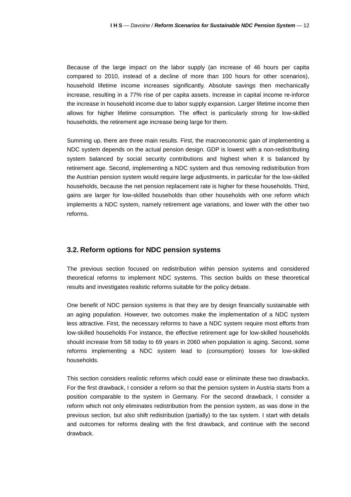Because of the large impact on the labor supply (an increase of 46 hours per capita compared to 2010, instead of a decline of more than 100 hours for other scenarios), household lifetime income increases significantly. Absolute savings then mechanically increase, resulting in a 77% rise of per capita assets. Increase in capital income re-inforce the increase in household income due to labor supply expansion. Larger lifetime income then allows for higher lifetime consumption. The effect is particularly strong for low-skilled households, the retirement age increase being large for them.

Summing up, there are three main results. First, the macroeconomic gain of implementing a NDC system depends on the actual pension design. GDP is lowest with a non-redistributing system balanced by social security contributions and highest when it is balanced by retirement age. Second, implementing a NDC system and thus removing redistribution from the Austrian pension system would require large adjustments, in particular for the low-skilled households, because the net pension replacement rate is higher for these households. Third, gains are larger for low-skilled households than other households with one reform which implements a NDC system, namely retirement age variations, and lower with the other two reforms.

#### **3.2. Reform options for NDC pension systems**

The previous section focused on redistribution within pension systems and considered theoretical reforms to implement NDC systems. This section builds on these theoretical results and investigates realistic reforms suitable for the policy debate.

One benefit of NDC pension systems is that they are by design financially sustainable with an aging population. However, two outcomes make the implementation of a NDC system less attractive. First, the necessary reforms to have a NDC system require most efforts from low-skilled households For instance, the effective retirement age for low-skilled households should increase from 58 today to 69 years in 2060 when population is aging. Second, some reforms implementing a NDC system lead to (consumption) losses for low-skilled households.

This section considers realistic reforms which could ease or eliminate these two drawbacks. For the first drawback, I consider a reform so that the pension system in Austria starts from a position comparable to the system in Germany. For the second drawback, I consider a reform which not only eliminates redistribution from the pension system, as was done in the previous section, but also shift redistribution (partially) to the tax system. I start with details and outcomes for reforms dealing with the first drawback, and continue with the second drawback.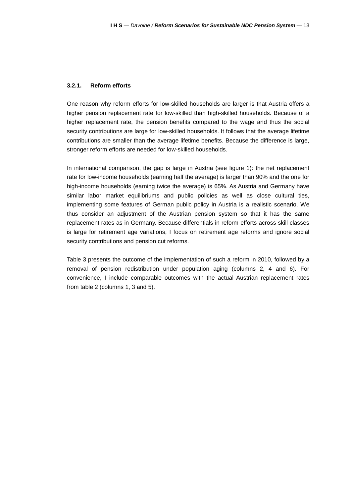#### **3.2.1. Reform efforts**

One reason why reform efforts for low-skilled households are larger is that Austria offers a higher pension replacement rate for low-skilled than high-skilled households. Because of a higher replacement rate, the pension benefits compared to the wage and thus the social security contributions are large for low-skilled households. It follows that the average lifetime contributions are smaller than the average lifetime benefits. Because the difference is large, stronger reform efforts are needed for low-skilled households.

In international comparison, the gap is large in Austria (see figure 1): the net replacement rate for low-income households (earning half the average) is larger than 90% and the one for high-income households (earning twice the average) is 65%. As Austria and Germany have similar labor market equilibriums and public policies as well as close cultural ties, implementing some features of German public policy in Austria is a realistic scenario. We thus consider an adjustment of the Austrian pension system so that it has the same replacement rates as in Germany. Because differentials in reform efforts across skill classes is large for retirement age variations, I focus on retirement age reforms and ignore social security contributions and pension cut reforms.

Table 3 presents the outcome of the implementation of such a reform in 2010, followed by a removal of pension redistribution under population aging (columns 2, 4 and 6). For convenience, I include comparable outcomes with the actual Austrian replacement rates from table 2 (columns 1, 3 and 5).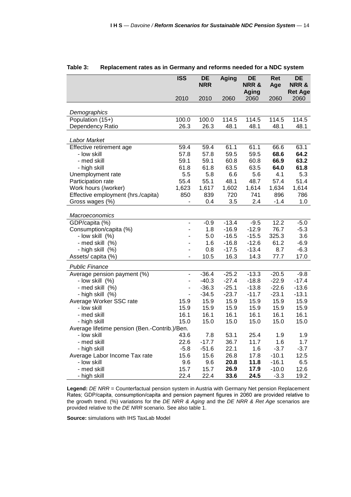|                                               | ISS                          | <b>DE</b>   | <b>Aging</b> | <b>DE</b>                       | <b>Ret</b>   | <b>DE</b>              |
|-----------------------------------------------|------------------------------|-------------|--------------|---------------------------------|--------------|------------------------|
|                                               |                              | <b>NRR</b>  |              | <b>NRR&amp;</b><br><b>Aging</b> | Age          | NRR&<br><b>Ret Age</b> |
|                                               | 2010                         | 2010        | 2060         | 2060                            | 2060         | 2060                   |
|                                               |                              |             |              |                                 |              |                        |
| Demographics                                  |                              |             |              |                                 |              |                        |
| Population (15+)                              | 100.0                        | 100.0       | 114.5        | 114.5                           | 114.5        | 114.5                  |
| Dependency Ratio                              | 26.3                         | 26.3        | 48.1         | 48.1                            | 48.1         | 48.1                   |
|                                               |                              |             |              |                                 |              |                        |
| Labor Market                                  |                              |             |              |                                 |              |                        |
| Effective retirement age                      | 59.4                         | 59.4        | 61.1         | 61.1                            | 66.6<br>68.6 | 63.1<br>64.2           |
| - low skill                                   | 57.8                         | 57.8        | 59.5         | 59.5                            |              |                        |
| - med skill                                   | 59.1                         | 59.1        | 60.8         | 60.8                            | 66.9         | 63.2<br>61.8           |
| - high skill                                  | 61.8<br>5.5                  | 61.8<br>5.8 | 63.5<br>6.6  | 63.5<br>5.6                     | 64.0<br>4.1  | 5.3                    |
| Unemployment rate<br>Participation rate       | 55.4                         | 55.1        | 48.1         | 48.7                            | 57.4         | 51.4                   |
| Work hours (/worker)                          | 1,623                        | 1,617       | 1,602        | 1,614                           | 1,634        | 1,614                  |
| Effective employment (hrs./capita)            | 850                          | 839         | 720          | 741                             | 896          | 786                    |
| Gross wages (%)                               | $\qquad \qquad \blacksquare$ | 0.4         | 3.5          | 2.4                             | $-1.4$       | 1.0                    |
|                                               |                              |             |              |                                 |              |                        |
| Macroeconomics                                |                              |             |              |                                 |              |                        |
| GDP/capita (%)                                | $\frac{1}{2}$                | $-0.9$      | $-13.4$      | $-9.5$                          | 12.2         | $-5.0$                 |
| Consumption/capita (%)                        | L.                           | 1.8         | $-16.9$      | $-12.9$                         | 76.7         | $-5.3$                 |
| - low skill (%)                               | ÷,                           | 5.0         | $-16.5$      | $-15.5$                         | 325.3        | 3.6                    |
| - med skill (%)                               |                              | 1.6         | $-16.8$      | $-12.6$                         | 61.2         | $-6.9$                 |
| - high skill (%)                              |                              | 0.8         | $-17.5$      | $-13.4$                         | 8.7          | $-6.3$                 |
| Assets/capita (%)                             | ÷,                           | 10.5        | 16.3         | 14.3                            | 77.7         | 17.0                   |
| <b>Public Finance</b>                         |                              |             |              |                                 |              |                        |
| Average pension payment (%)                   | $\blacksquare$               | $-36.4$     | $-25.2$      | $-13.3$                         | $-20.5$      | $-9.8$                 |
| - low skill (%)                               | $\overline{\phantom{0}}$     | $-40.3$     | $-27.4$      | $-18.8$                         | $-22.9$      | $-17.4$                |
| - med skill (%)                               | ÷                            | $-36.3$     | $-25.1$      | $-13.8$                         | $-22.6$      | $-13.6$                |
| - high skill (%)                              |                              | $-34.5$     | $-23.7$      | $-11.7$                         | $-23.1$      | $-13.1$                |
| Average Worker SSC rate                       | 15.9                         | 15.9        | 15.9         | 15.9                            | 15.9         | 15.9                   |
| - Iow skill                                   | 15.9                         | 15.9        | 15.9         | 15.9                            | 15.9         | 15.9                   |
| - med skill                                   | 16.1                         | 16.1        | 16.1         | 16.1                            | 16.1         | 16.1                   |
| - high skill                                  | 15.0                         | 15.0        | 15.0         | 15.0                            | 15.0         | 15.0                   |
| Average lifetime pension (Ben.-Contrib.)/Ben. |                              |             |              |                                 |              |                        |
| - low skill                                   | 43.6                         | 7.8         | 53.1         | 25.4                            | 1.9          | 1.9                    |
| - med skill                                   | 22.6                         | $-17.7$     | 36.7         | 11.7                            | 1.6          | 1.7                    |
| - high skill                                  | $-5.8$                       | $-51.6$     | 22.1         | 1.6                             | $-3.7$       | $-3.7$                 |
| Average Labor Income Tax rate                 | 15.6                         | 15.6        | 26.8         | 17.8                            | $-10.1$      | 12.5                   |
| - low skill                                   | 9.6                          | 9.6         | 20.8         | 11.8                            | $-16.1$      | 6.5                    |
| - med skill                                   | 15.7                         | 15.7        | 26.9         | 17.9                            | $-10.0$      | 12.6                   |
| - high skill                                  | 22.4                         | 22.4        | 33.6         | 24.5                            | $-3.3$       | 19.2                   |

#### **Table 3: Replacement rates as in Germany and reforms needed for a NDC system**

**Legend:** DE NRR = Counterfactual pension system in Austria with Germany Net pension Replacement Rates; GDP/capita, consumption/capita and pension payment figures in 2060 are provided relative to the growth trend. (%) variations for the DE NRR & Aging and the DE NRR & Ret Age scenarios are provided relative to the DE NRR scenario. See also table 1.

**Source:** simulations with IHS TaxLab Model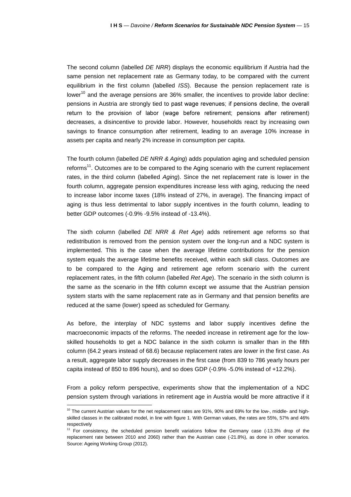The second column (labelled DE NRR) displays the economic equilibrium if Austria had the same pension net replacement rate as Germany today, to be compared with the current equilibrium in the first column (labelled ISS). Because the pension replacement rate is lower<sup>10</sup> and the average pensions are 36% smaller, the incentives to provide labor decline: pensions in Austria are strongly tied to past wage revenues; if pensions decline, the overall return to the provision of labor (wage before retirement; pensions after retirement) decreases, a disincentive to provide labor. However, households react by increasing own savings to finance consumption after retirement, leading to an average 10% increase in assets per capita and nearly 2% increase in consumption per capita.

The fourth column (labelled DE NRR & Aging) adds population aging and scheduled pension reforms<sup>11</sup>. Outcomes are to be compared to the Aging scenario with the current replacement rates, in the third column (labelled Aging). Since the net replacement rate is lower in the fourth column, aggregate pension expenditures increase less with aging, reducing the need to increase labor income taxes (18% instead of 27%, in average). The financing impact of aging is thus less detrimental to labor supply incentives in the fourth column, leading to better GDP outcomes (-0.9% -9.5% instead of -13.4%).

The sixth column (labelled DE NRR & Ret Age) adds retirement age reforms so that redistribution is removed from the pension system over the long-run and a NDC system is implemented. This is the case when the average lifetime contributions for the pension system equals the average lifetime benefits received, within each skill class. Outcomes are to be compared to the Aging and retirement age reform scenario with the current replacement rates, in the fifth column (labelled Ret Age). The scenario in the sixth column is the same as the scenario in the fifth column except we assume that the Austrian pension system starts with the same replacement rate as in Germany and that pension benefits are reduced at the same (lower) speed as scheduled for Germany.

As before, the interplay of NDC systems and labor supply incentives define the macroeconomic impacts of the reforms. The needed increase in retirement age for the lowskilled households to get a NDC balance in the sixth column is smaller than in the fifth column (64.2 years instead of 68.6) because replacement rates are lower in the first case. As a result, aggregate labor supply decreases in the first case (from 839 to 786 yearly hours per capita instead of 850 to 896 hours), and so does GDP (-0.9% -5.0% instead of +12.2%).

From a policy reform perspective, experiments show that the implementation of a NDC pension system through variations in retirement age in Austria would be more attractive if it

<sup>&</sup>lt;sup>10</sup> The current Austrian values for the net replacement rates are 91%, 90% and 69% for the low-, middle- and highskilled classes in the calibrated model, in line with figure 1. With German values, the rates are 55%, 57% and 46% respectively

 $11$  For consistency, the scheduled pension benefit variations follow the Germany case (-13.3% drop of the replacement rate between 2010 and 2060) rather than the Austrian case (-21.8%), as done in other scenarios. Source: Ageing Working Group (2012).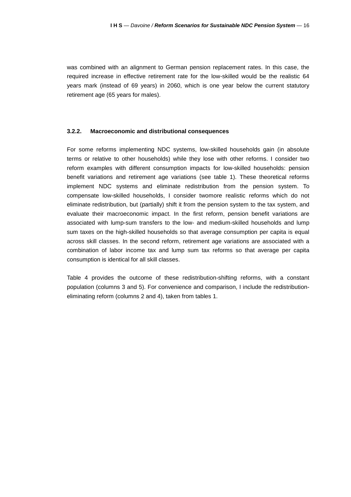was combined with an alignment to German pension replacement rates. In this case, the required increase in effective retirement rate for the low-skilled would be the realistic 64 years mark (instead of 69 years) in 2060, which is one year below the current statutory retirement age (65 years for males).

#### **3.2.2. Macroeconomic and distributional consequences**

For some reforms implementing NDC systems, low-skilled households gain (in absolute terms or relative to other households) while they lose with other reforms. I consider two reform examples with different consumption impacts for low-skilled households: pension benefit variations and retirement age variations (see table 1). These theoretical reforms implement NDC systems and eliminate redistribution from the pension system. To compensate low-skilled households, I consider twomore realistic reforms which do not eliminate redistribution, but (partially) shift it from the pension system to the tax system, and evaluate their macroeconomic impact. In the first reform, pension benefit variations are associated with lump-sum transfers to the low- and medium-skilled households and lump sum taxes on the high-skilled households so that average consumption per capita is equal across skill classes. In the second reform, retirement age variations are associated with a combination of labor income tax and lump sum tax reforms so that average per capita consumption is identical for all skill classes.

Table 4 provides the outcome of these redistribution-shifting reforms, with a constant population (columns 3 and 5). For convenience and comparison, I include the redistributioneliminating reform (columns 2 and 4), taken from tables 1.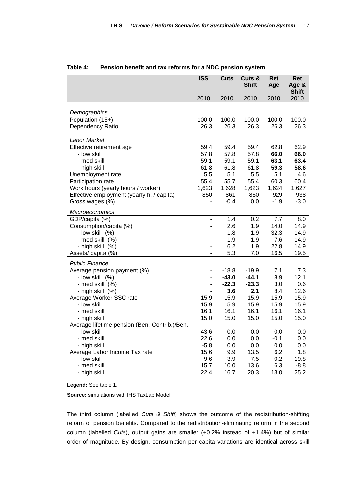| <b>Shift</b><br>2010<br>2010<br>2010<br>2010<br>2010<br>Demographics<br>Population (15+)<br>100.0<br>100.0<br>100.0<br>100.0<br>100.0<br>Dependency Ratio<br>26.3<br>26.3<br>26.3<br>26.3<br>26.3<br>Labor Market |
|-------------------------------------------------------------------------------------------------------------------------------------------------------------------------------------------------------------------|
|                                                                                                                                                                                                                   |
|                                                                                                                                                                                                                   |
|                                                                                                                                                                                                                   |
|                                                                                                                                                                                                                   |
|                                                                                                                                                                                                                   |
|                                                                                                                                                                                                                   |
| Effective retirement age<br>59.4<br>59.4<br>59.4<br>62.8<br>62.9                                                                                                                                                  |
| 66.0<br>66.0<br>- low skill<br>57.8<br>57.8<br>57.8                                                                                                                                                               |
| 63.1<br>63.4<br>- med skill<br>59.1<br>59.1<br>59.1                                                                                                                                                               |
| 61.8<br>61.8<br>61.8<br>59.3<br>58.6<br>- high skill                                                                                                                                                              |
| 5.5<br>5.1<br>Unemployment rate<br>5.1<br>5.5<br>4.6                                                                                                                                                              |
| 55.4<br>55.7<br>60.3<br>Participation rate<br>55.4<br>60.4                                                                                                                                                        |
| 1,623<br>1,628<br>1,623<br>1,624<br>1,627<br>Work hours (yearly hours / worker)                                                                                                                                   |
| Effective employment (yearly h. / capita)<br>850<br>861<br>929<br>938<br>850                                                                                                                                      |
| $-0.4$<br>$-3.0$<br>Gross wages (%)<br>0.0<br>$-1.9$                                                                                                                                                              |
| Macroeconomics                                                                                                                                                                                                    |
| GDP/capita (%)<br>1.4<br>0.2<br>7.7<br>8.0<br>÷,                                                                                                                                                                  |
| 2.6<br>1.9<br>Consumption/capita (%)<br>14.0<br>14.9                                                                                                                                                              |
| $-1.8$<br>32.3<br>14.9<br>- low skill (%)<br>1.9                                                                                                                                                                  |
| 1.9<br>1.9<br>7.6<br>14.9<br>- med skill (%)                                                                                                                                                                      |
| 6.2<br>1.9<br>22.8<br>14.9<br>- high skill (%)                                                                                                                                                                    |
| Assets/ capita (%)<br>5.3<br>7.0<br>16.5<br>19.5<br>$\overline{\phantom{a}}$                                                                                                                                      |
| <b>Public Finance</b>                                                                                                                                                                                             |
| Average pension payment (%)<br>$-18.8$<br>$-19.9$<br>7.1<br>7.3<br>$\overline{\phantom{a}}$                                                                                                                       |
| $-43.0$<br>$-44.1$<br>12.1<br>8.9<br>- low skill (%)<br>$\overline{\phantom{a}}$                                                                                                                                  |
| $-22.3$<br>$-23.3$<br>- med skill (%)<br>3.0<br>0.6<br>$\overline{\phantom{a}}$                                                                                                                                   |
| 2.1<br>12.6<br>3.6<br>8.4<br>- high skill (%)                                                                                                                                                                     |
| 15.9<br>15.9<br>15.9<br>15.9<br>15.9<br>Average Worker SSC rate                                                                                                                                                   |
| 15.9<br>15.9<br>15.9<br>15.9<br>- Iow skill<br>15.9                                                                                                                                                               |
| 16.1<br>16.1<br>16.1<br>16.1<br>16.1<br>- med skill                                                                                                                                                               |
| 15.0<br>15.0<br>15.0<br>15.0<br>15.0<br>- high skill                                                                                                                                                              |
| Average lifetime pension (Ben.-Contrib.)/Ben.                                                                                                                                                                     |
| - low skill<br>43.6<br>0.0<br>0.0<br>0.0<br>0.0                                                                                                                                                                   |
| - med skill<br>22.6<br>0.0<br>0.0<br>$-0.1$<br>0.0                                                                                                                                                                |
| - high skill<br>$-5.8$<br>0.0<br>0.0<br>0.0<br>0.0                                                                                                                                                                |
| 15.6<br>6.2<br>1.8<br>Average Labor Income Tax rate<br>9.9<br>13.5                                                                                                                                                |
| 3.9<br>7.5<br>0.2<br>19.8<br>- Iow skill<br>9.6<br>13.6                                                                                                                                                           |
| - med skill<br>15.7<br>10.0<br>6.3<br>$-8.8$<br>22.4<br>16.7<br>20.3<br>13.0<br>25.2<br>- high skill                                                                                                              |

#### **Table 4: Pension benefit and tax reforms for a NDC pension system**

**Legend:** See table 1.

**Source:** simulations with IHS TaxLab Model

The third column (labelled Cuts & Shift) shows the outcome of the redistribution-shifting reform of pension benefits. Compared to the redistribution-eliminating reform in the second column (labelled Cuts), output gains are smaller (+0.2% instead of +1.4%) but of similar order of magnitude. By design, consumption per capita variations are identical across skill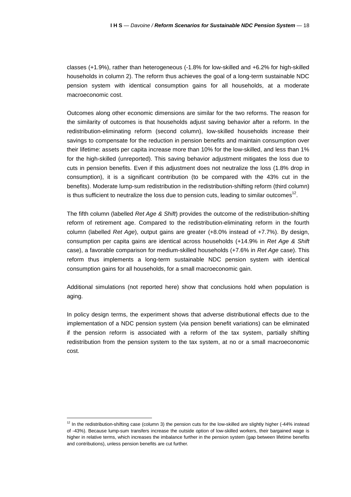classes (+1.9%), rather than heterogeneous (-1.8% for low-skilled and +6.2% for high-skilled households in column 2). The reform thus achieves the goal of a long-term sustainable NDC pension system with identical consumption gains for all households, at a moderate macroeconomic cost.

Outcomes along other economic dimensions are similar for the two reforms. The reason for the similarity of outcomes is that households adjust saving behavior after a reform. In the redistribution-eliminating reform (second column), low-skilled households increase their savings to compensate for the reduction in pension benefits and maintain consumption over their lifetime: assets per capita increase more than 10% for the low-skilled, and less than 1% for the high-skilled (unreported). This saving behavior adjustment mitigates the loss due to cuts in pension benefits. Even if this adjustment does not neutralize the loss (1.8% drop in consumption), it is a significant contribution (to be compared with the 43% cut in the benefits). Moderate lump-sum redistribution in the redistribution-shifting reform (third column) is thus sufficient to neutralize the loss due to pension cuts, leading to similar outcomes<sup>12</sup>.

The fifth column (labelled Ret Age & Shift) provides the outcome of the redistribution-shifting reform of retirement age. Compared to the redistribution-eliminating reform in the fourth column (labelled Ret Age), output gains are greater  $(+8.0\%$  instead of  $+7.7\%$ ). By design, consumption per capita gains are identical across households (+14.9% in Ret Age & Shift case), a favorable comparison for medium-skilled households (+7.6% in Ret Age case). This reform thus implements a long-term sustainable NDC pension system with identical consumption gains for all households, for a small macroeconomic gain.

Additional simulations (not reported here) show that conclusions hold when population is aging.

In policy design terms, the experiment shows that adverse distributional effects due to the implementation of a NDC pension system (via pension benefit variations) can be eliminated if the pension reform is associated with a reform of the tax system, partially shifting redistribution from the pension system to the tax system, at no or a small macroeconomic cost.

 $12$  In the redistribution-shifting case (column 3) the pension cuts for the low-skilled are slightly higher (-44% instead of -43%). Because lump-sum transfers increase the outside option of low-skilled workers, their bargained wage is higher in relative terms, which increases the imbalance further in the pension system (gap between lifetime benefits and contributions), unless pension benefits are cut further.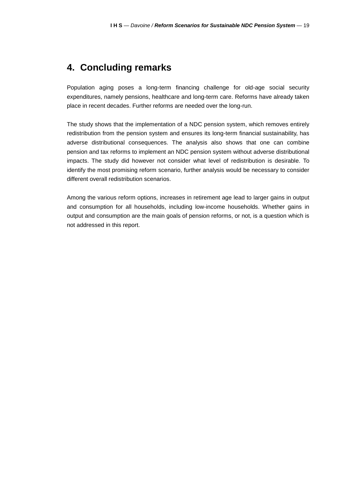### **4. Concluding remarks**

Population aging poses a long-term financing challenge for old-age social security expenditures, namely pensions, healthcare and long-term care. Reforms have already taken place in recent decades. Further reforms are needed over the long-run.

The study shows that the implementation of a NDC pension system, which removes entirely redistribution from the pension system and ensures its long-term financial sustainability, has adverse distributional consequences. The analysis also shows that one can combine pension and tax reforms to implement an NDC pension system without adverse distributional impacts. The study did however not consider what level of redistribution is desirable. To identify the most promising reform scenario, further analysis would be necessary to consider different overall redistribution scenarios.

Among the various reform options, increases in retirement age lead to larger gains in output and consumption for all households, including low-income households. Whether gains in output and consumption are the main goals of pension reforms, or not, is a question which is not addressed in this report.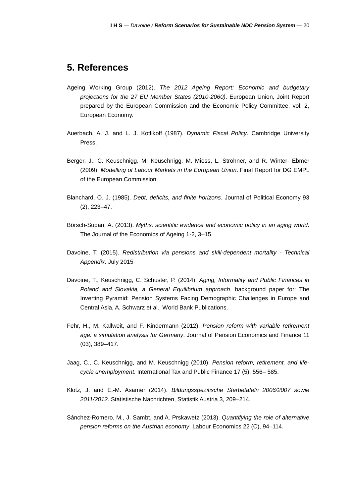### **5. References**

- Ageing Working Group (2012). The 2012 Ageing Report: Economic and budgetary projections for the 27 EU Member States (2010-2060). European Union, Joint Report prepared by the European Commission and the Economic Policy Committee, vol. 2, European Economy.
- Auerbach, A. J. and L. J. Kotlikoff (1987). Dynamic Fiscal Policy. Cambridge University Press.
- Berger, J., C. Keuschnigg, M. Keuschnigg, M. Miess, L. Strohner, and R. Winter- Ebmer (2009). Modelling of Labour Markets in the European Union. Final Report for DG EMPL of the European Commission.
- Blanchard, O. J. (1985). Debt, deficits, and finite horizons. Journal of Political Economy 93 (2), 223–47.
- Börsch-Supan, A. (2013). Myths, scientific evidence and economic policy in an aging world. The Journal of the Economics of Ageing 1-2, 3–15.
- Davoine, T. (2015). Redistribution via pensions and skill-dependent mortality Technical Appendix. July 2015
- Davoine, T., Keuschnigg, C. Schuster, P. (2014), Aging, Informality and Public Finances in Poland and Slovakia, a General Equilibrium approach, background paper for: The Inverting Pyramid: Pension Systems Facing Demographic Challenges in Europe and Central Asia, A. Schwarz et al., World Bank Publications.
- Fehr, H., M. Kallweit, and F. Kindermann (2012). Pension reform with variable retirement age: a simulation analysis for Germany. Journal of Pension Economics and Finance 11 (03), 389–417.
- Jaag, C., C. Keuschnigg, and M. Keuschnigg (2010). Pension reform, retirement, and lifecycle unemployment. International Tax and Public Finance 17 (5), 556– 585.
- Klotz, J. and E.-M. Asamer (2014). Bildungsspezifische Sterbetafeln 2006/2007 sowie 2011/2012. Statistische Nachrichten, Statistik Austria 3, 209–214.
- Sánchez-Romero, M., J. Sambt, and A. Prskawetz (2013). Quantifying the role of alternative pension reforms on the Austrian economy. Labour Economics 22 (C), 94–114.